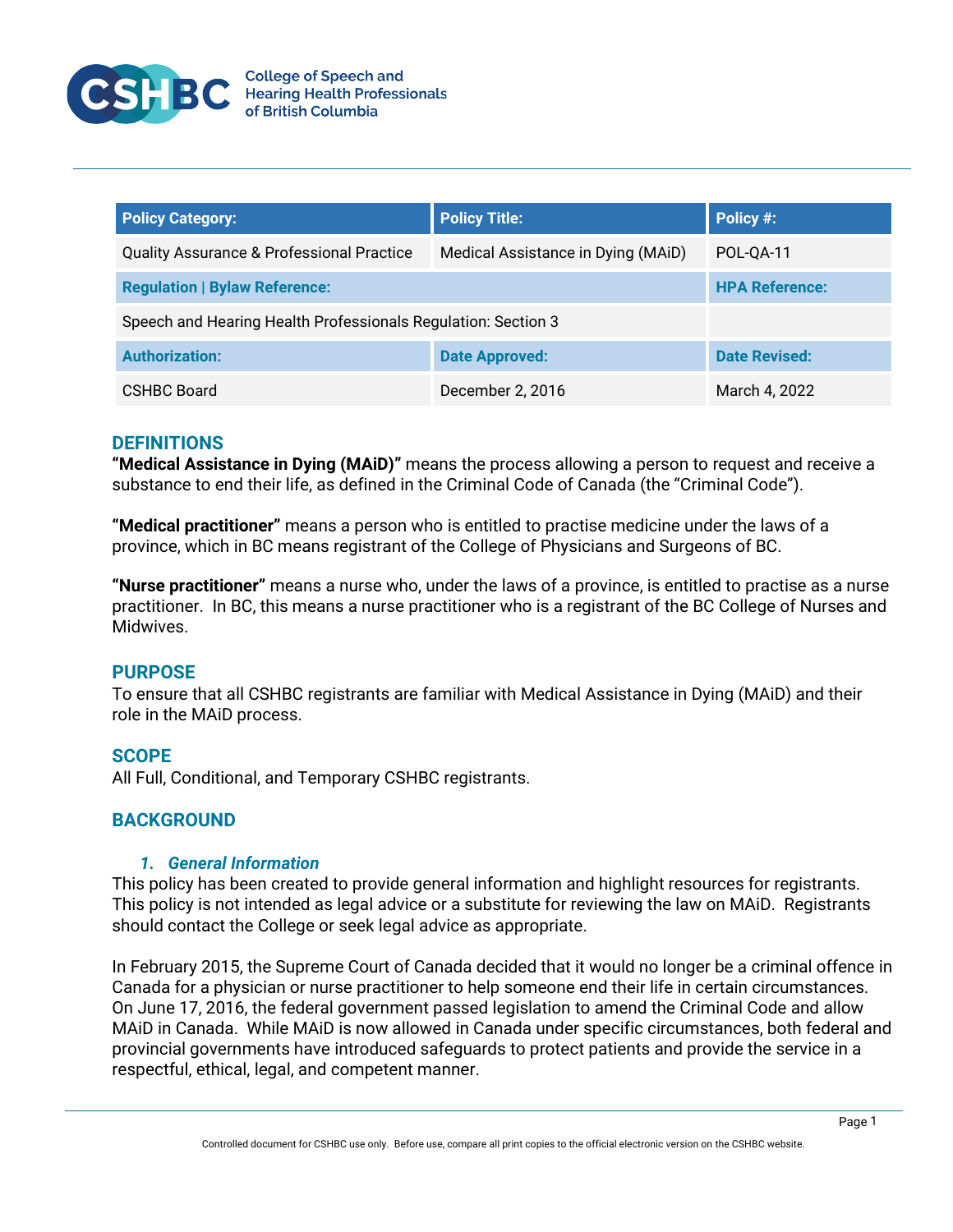

| <b>Policy Category:</b>                                       | <b>Policy Title:</b>               | Policy #:             |
|---------------------------------------------------------------|------------------------------------|-----------------------|
| <b>Quality Assurance &amp; Professional Practice</b>          | Medical Assistance in Dying (MAiD) | POL-0A-11             |
| <b>Regulation   Bylaw Reference:</b>                          |                                    | <b>HPA Reference:</b> |
| Speech and Hearing Health Professionals Regulation: Section 3 |                                    |                       |
| <b>Authorization:</b>                                         | <b>Date Approved:</b>              | <b>Date Revised:</b>  |
| <b>CSHBC Board</b>                                            | December 2, 2016                   | March 4, 2022         |

### **DEFINITIONS**

**"Medical Assistance in Dying (MAiD)"** means the process allowing a person to request and receive a substance to end their life, as defined in the Criminal Code of Canada (the "Criminal Code").

**"Medical practitioner"** means a person who is entitled to practise medicine under the laws of a province, which in BC means registrant of the College of Physicians and Surgeons of BC.

**"Nurse practitioner"** means a nurse who, under the laws of a province, is entitled to practise as a nurse practitioner. In BC, this means a nurse practitioner who is a registrant of the BC College of Nurses and Midwives.

# **PURPOSE**

To ensure that all CSHBC registrants are familiar with Medical Assistance in Dying (MAiD) and their role in the MAiD process.

# **SCOPE**

All Full, Conditional, and Temporary CSHBC registrants.

# **BACKGROUND**

### *1. General Information*

This policy has been created to provide general information and highlight resources for registrants. This policy is not intended as legal advice or a substitute for reviewing the law on MAiD. Registrants should contact the College or seek legal advice as appropriate.

In February 2015, the Supreme Court of Canada decided that it would no longer be a criminal offence in Canada for a physician or nurse practitioner to help someone end their life in certain circumstances. On June 17, 2016, the federal government passed legislation to amend the Criminal Code and allow MAiD in Canada. While MAiD is now allowed in Canada under specific circumstances, both federal and provincial governments have introduced safeguards to protect patients and provide the service in a respectful, ethical, legal, and competent manner.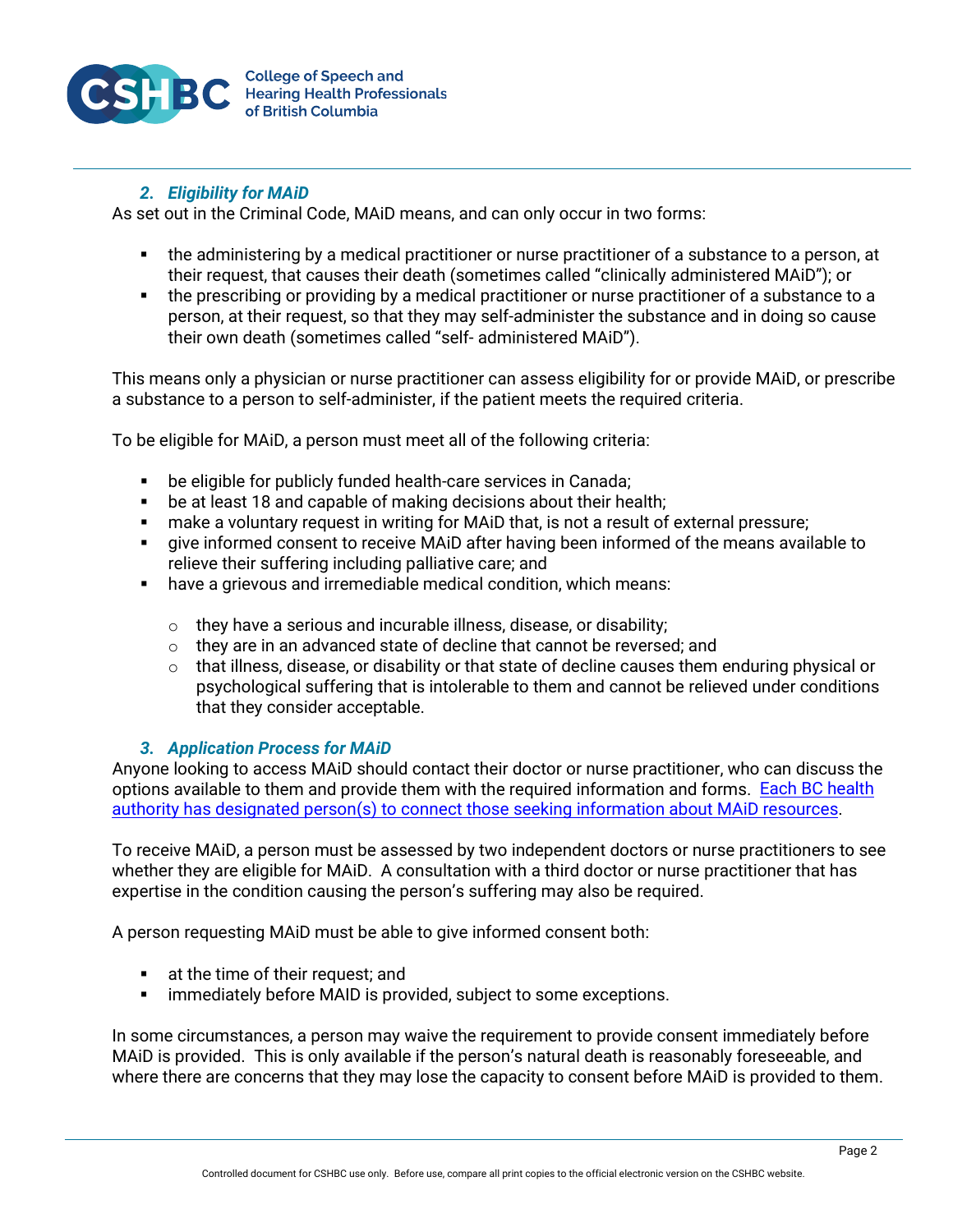

# *2. Eligibility for MAiD*

As set out in the Criminal Code, MAiD means, and can only occur in two forms:

- the administering by a medical practitioner or nurse practitioner of a substance to a person, at their request, that causes their death (sometimes called "clinically administered MAiD"); or
- the prescribing or providing by a medical practitioner or nurse practitioner of a substance to a person, at their request, so that they may self-administer the substance and in doing so cause their own death (sometimes called "self- administered MAiD").

This means only a physician or nurse practitioner can assess eligibility for or provide MAiD, or prescribe a substance to a person to self-administer, if the patient meets the required criteria.

To be eligible for MAiD, a person must meet all of the following criteria:

- be eligible for publicly funded health-care services in Canada;
- **be at least 18 and capable of making decisions about their health;**
- make a voluntary request in writing for MAiD that, is not a result of external pressure;
- give informed consent to receive MAiD after having been informed of the means available to relieve their suffering including palliative care; and
- have a grievous and irremediable medical condition, which means:
	- $\circ$  they have a serious and incurable illness, disease, or disability;
	- $\circ$  they are in an advanced state of decline that cannot be reversed; and
	- $\circ$  that illness, disease, or disability or that state of decline causes them enduring physical or psychological suffering that is intolerable to them and cannot be relieved under conditions that they consider acceptable.

# *3. Application Process for MAiD*

Anyone looking to access MAiD should contact their doctor or nurse practitioner, who can discuss the options available to them and provide them with the required information and forms. [Each BC health](https://www2.gov.bc.ca/gov/content/health/accessing-health-care/home-community-care/care-options-and-cost/end-of-life-care/medical-assistance-in-dying)  [authority has designated person\(s\) to connect those seeking information about MAiD resources.](https://www2.gov.bc.ca/gov/content/health/accessing-health-care/home-community-care/care-options-and-cost/end-of-life-care/medical-assistance-in-dying)

To receive MAiD, a person must be assessed by two independent doctors or nurse practitioners to see whether they are eligible for MAiD. A consultation with a third doctor or nurse practitioner that has expertise in the condition causing the person's suffering may also be required.

A person requesting MAiD must be able to give informed consent both:

- **at the time of their request; and**
- **F** immediately before MAID is provided, subject to some exceptions.

In some circumstances, a person may waive the requirement to provide consent immediately before MAiD is provided. This is only available if the person's natural death is reasonably foreseeable, and where there are concerns that they may lose the capacity to consent before MAiD is provided to them.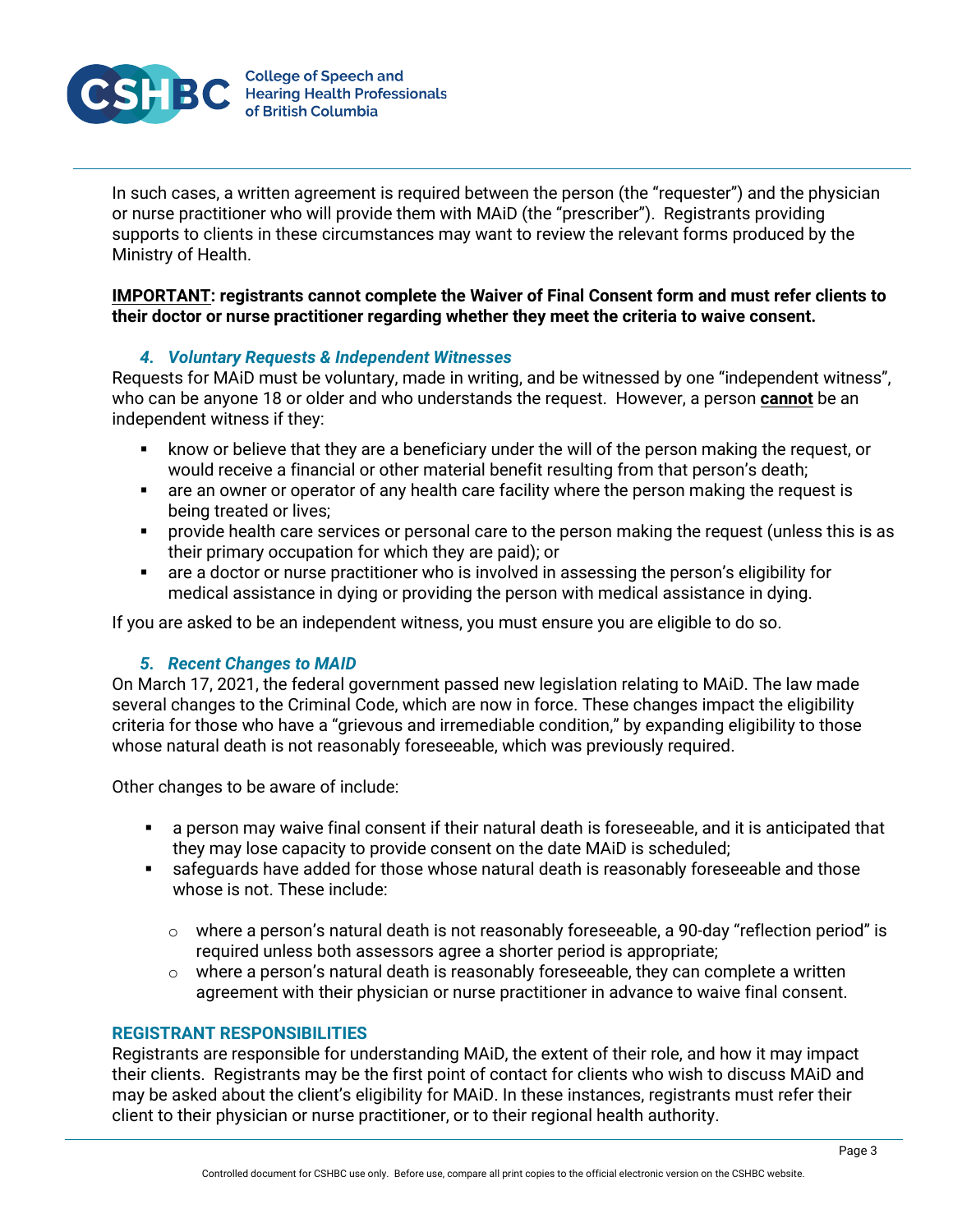

In such cases, a written agreement is required between the person (the "requester") and the physician or nurse practitioner who will provide them with MAiD (the "prescriber"). Registrants providing supports to clients in these circumstances may want to review the relevant forms produced by the Ministry of Health.

# **IMPORTANT: registrants cannot complete the Waiver of Final Consent form and must refer clients to their doctor or nurse practitioner regarding whether they meet the criteria to waive consent.**

# *4. Voluntary Requests & Independent Witnesses*

Requests for MAiD must be voluntary, made in writing, and be witnessed by one "independent witness", who can be anyone 18 or older and who understands the request. However, a person **cannot** be an independent witness if they:

- know or believe that they are a beneficiary under the will of the person making the request, or would receive a financial or other material benefit resulting from that person's death;
- are an owner or operator of any health care facility where the person making the request is being treated or lives;
- provide health care services or personal care to the person making the request (unless this is as their primary occupation for which they are paid); or
- are a doctor or nurse practitioner who is involved in assessing the person's eligibility for medical assistance in dying or providing the person with medical assistance in dying.

If you are asked to be an independent witness, you must ensure you are eligible to do so.

# *5. Recent Changes to MAID*

On March 17, 2021, the federal government passed new legislation relating to MAiD. The law made several changes to the Criminal Code, which are now in force. These changes impact the eligibility criteria for those who have a "grievous and irremediable condition," by expanding eligibility to those whose natural death is not reasonably foreseeable, which was previously required.

Other changes to be aware of include:

- a person may waive final consent if their natural death is foreseeable, and it is anticipated that they may lose capacity to provide consent on the date MAiD is scheduled;
- safeguards have added for those whose natural death is reasonably foreseeable and those whose is not. These include:
	- $\circ$  where a person's natural death is not reasonably foreseeable, a 90-day "reflection period" is required unless both assessors agree a shorter period is appropriate;
	- $\circ$  where a person's natural death is reasonably foreseeable, they can complete a written agreement with their physician or nurse practitioner in advance to waive final consent.

### **REGISTRANT RESPONSIBILITIES**

Registrants are responsible for understanding MAiD, the extent of their role, and how it may impact their clients. Registrants may be the first point of contact for clients who wish to discuss MAiD and may be asked about the client's eligibility for MAiD. In these instances, registrants must refer their client to their physician or nurse practitioner, or to their regional health authority.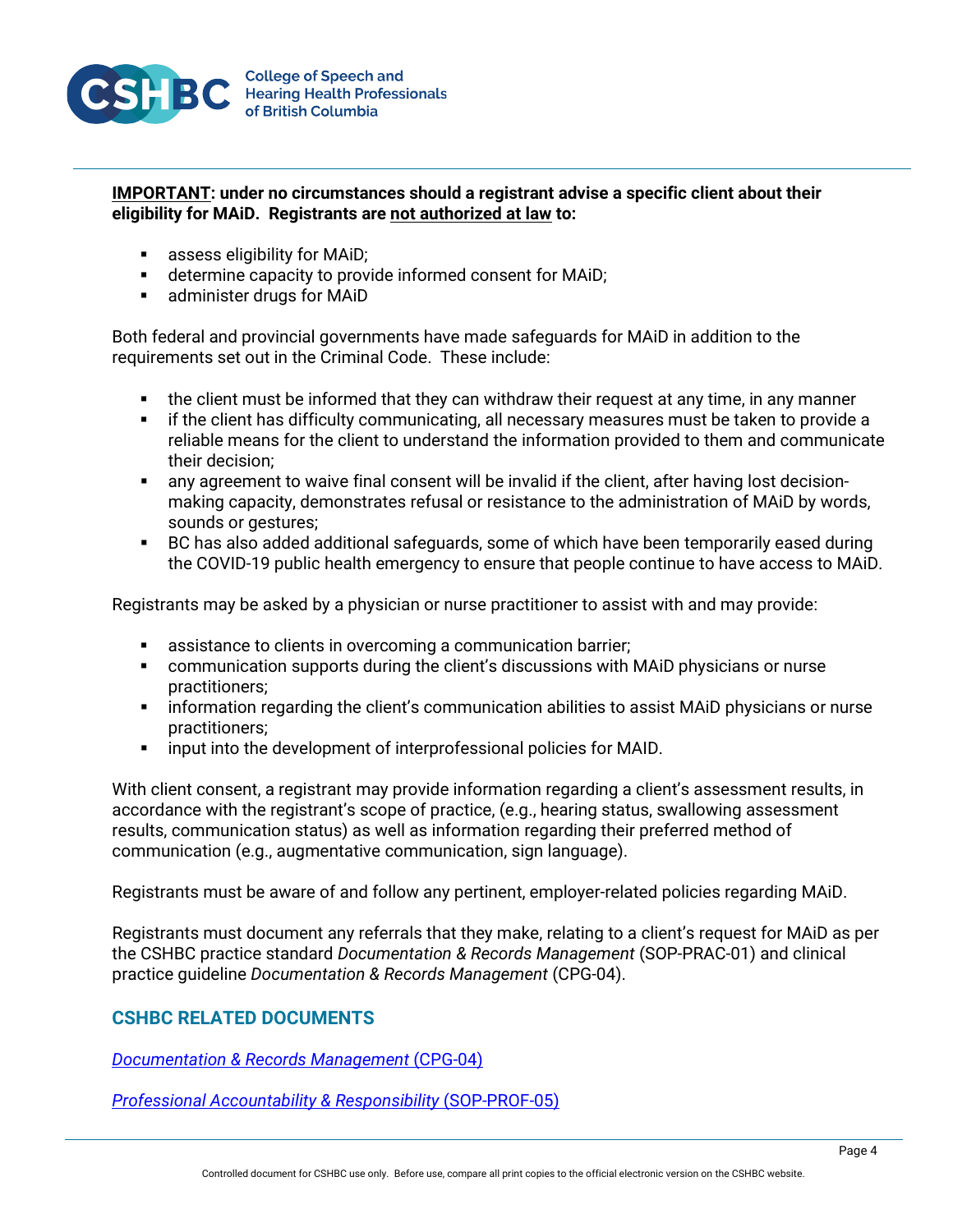

# **IMPORTANT: under no circumstances should a registrant advise a specific client about their eligibility for MAiD. Registrants are not authorized at law to:**

- **assess eligibility for MAiD;**
- determine capacity to provide informed consent for MAiD;
- **EXECUTE:** administer drugs for MAID

Both federal and provincial governments have made safeguards for MAiD in addition to the requirements set out in the Criminal Code. These include:

- the client must be informed that they can withdraw their request at any time, in any manner
- **F** if the client has difficulty communicating, all necessary measures must be taken to provide a reliable means for the client to understand the information provided to them and communicate their decision;
- any agreement to waive final consent will be invalid if the client, after having lost decisionmaking capacity, demonstrates refusal or resistance to the administration of MAiD by words, sounds or gestures;
- BC has also added additional safeguards, some of which have been temporarily eased during the COVID-19 public health emergency to ensure that people continue to have access to MAiD.

Registrants may be asked by a physician or nurse practitioner to assist with and may provide:

- **EXECT** assistance to clients in overcoming a communication barrier;
- communication supports during the client's discussions with MAiD physicians or nurse practitioners;
- information regarding the client's communication abilities to assist MAiD physicians or nurse practitioners;
- **EXECT** input into the development of interprofessional policies for MAID.

With client consent, a registrant may provide information regarding a client's assessment results, in accordance with the registrant's scope of practice, (e.g., hearing status, swallowing assessment results, communication status) as well as information regarding their preferred method of communication (e.g., augmentative communication, sign language).

Registrants must be aware of and follow any pertinent, employer-related policies regarding MAiD.

Registrants must document any referrals that they make, relating to a client's request for MAiD as per the CSHBC practice standard *Documentation & Records Management* (SOP-PRAC-01) and clinical practice guideline *Documentation & Records Management* (CPG-04).

# **CSHBC RELATED DOCUMENTS**

*[Documentation &](http://cshbc.ca/wp-content/uploads/2019/02/CSHBC-CPG-04-Documentation-Records-Management.pdf) Records Management* (CPG-04)

*[Professional Accountability & Responsibility](https://cshbc.ca/wp-content/uploads/2019/02/CSHBC-SOP-PROF-05-Professional-Accountability-Responsibility.pdf)* (SOP-PROF-05)